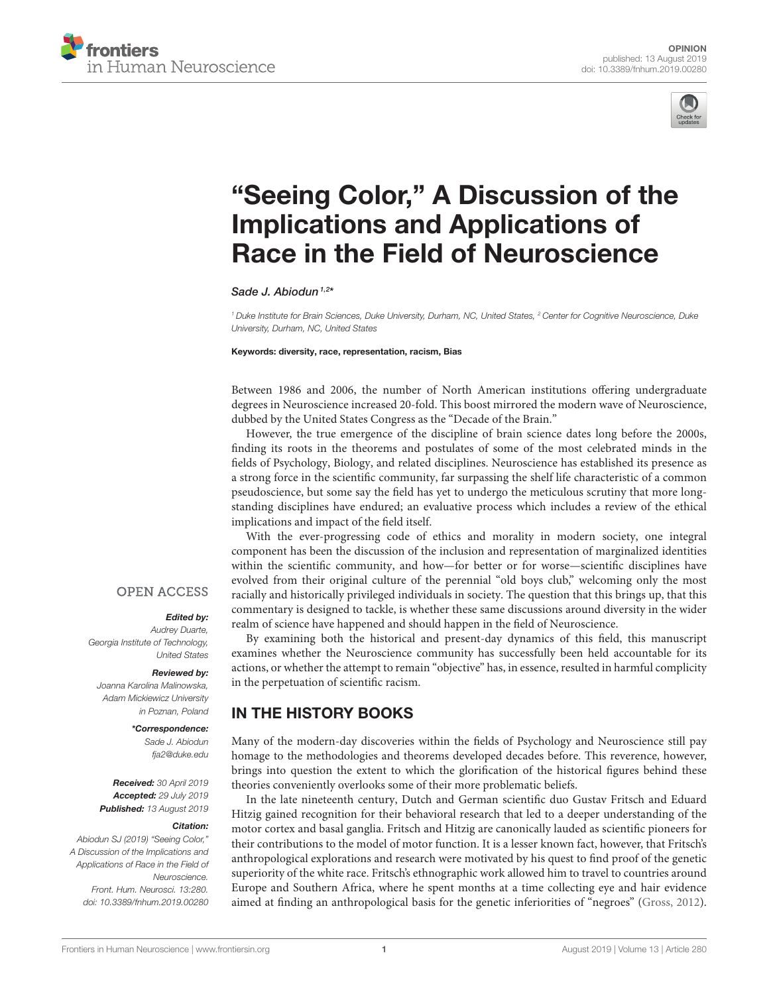



# "Seeing Color," A Discussion of the Implications and Applications of Race in the Field of Neuroscience

#### Sade J. Abiodun<sup>1,2\*</sup>

<sup>1</sup> Duke Institute for Brain Sciences, Duke University, Durham, NC, United States, <sup>2</sup> Center for Cognitive Neuroscience, Duke University, Durham, NC, United States

#### Keywords: diversity, race, representation, racism, Bias

Between 1986 and 2006, the number of North American institutions offering undergraduate degrees in Neuroscience increased 20-fold. This boost mirrored the modern wave of Neuroscience, dubbed by the United States Congress as the "Decade of the Brain."

However, the true emergence of the discipline of brain science dates long before the 2000s, finding its roots in the theorems and postulates of some of the most celebrated minds in the fields of Psychology, Biology, and related disciplines. Neuroscience has established its presence as a strong force in the scientific community, far surpassing the shelf life characteristic of a common pseudoscience, but some say the field has yet to undergo the meticulous scrutiny that more longstanding disciplines have endured; an evaluative process which includes a review of the ethical implications and impact of the field itself.

With the ever-progressing code of ethics and morality in modern society, one integral component has been the discussion of the inclusion and representation of marginalized identities within the scientific community, and how—for better or for worse—scientific disciplines have evolved from their original culture of the perennial "old boys club," welcoming only the most racially and historically privileged individuals in society. The question that this brings up, that this commentary is designed to tackle, is whether these same discussions around diversity in the wider realm of science have happened and should happen in the field of Neuroscience.

By examining both the historical and present-day dynamics of this field, this manuscript examines whether the Neuroscience community has successfully been held accountable for its actions, or whether the attempt to remain "objective" has, in essence, resulted in harmful complicity in the perpetuation of scientific racism.

# IN THE HISTORY BOOKS

Many of the modern-day discoveries within the fields of Psychology and Neuroscience still pay homage to the methodologies and theorems developed decades before. This reverence, however, brings into question the extent to which the glorification of the historical figures behind these theories conveniently overlooks some of their more problematic beliefs.

In the late nineteenth century, Dutch and German scientific duo Gustav Fritsch and Eduard Hitzig gained recognition for their behavioral research that led to a deeper understanding of the motor cortex and basal ganglia. Fritsch and Hitzig are canonically lauded as scientific pioneers for their contributions to the model of motor function. It is a lesser known fact, however, that Fritsch's anthropological explorations and research were motivated by his quest to find proof of the genetic superiority of the white race. Fritsch's ethnographic work allowed him to travel to countries around Europe and Southern Africa, where he spent months at a time collecting eye and hair evidence aimed at finding an anthropological basis for the genetic inferiorities of "negroes" (Gross, 2012).

### **OPEN ACCESS**

#### Edited by:

Audrey Duarte, Georgia Institute of Technology, United States

#### Reviewed by:

Joanna Karolina Malinowska, Adam Mickiewicz University in Poznan, Poland

#### \*Correspondence:

Sade J. Abiodun fja2@duke.edu

Received: 30 April 2019 Accepted: 29 July 2019 Published: 13 August 2019

#### Citation:

Abiodun SJ (2019) "Seeing Color," A Discussion of the Implications and Applications of Race in the Field of Neuroscience. Front. Hum. Neurosci. 13:280. doi: 10.3389/fnhum.2019.00280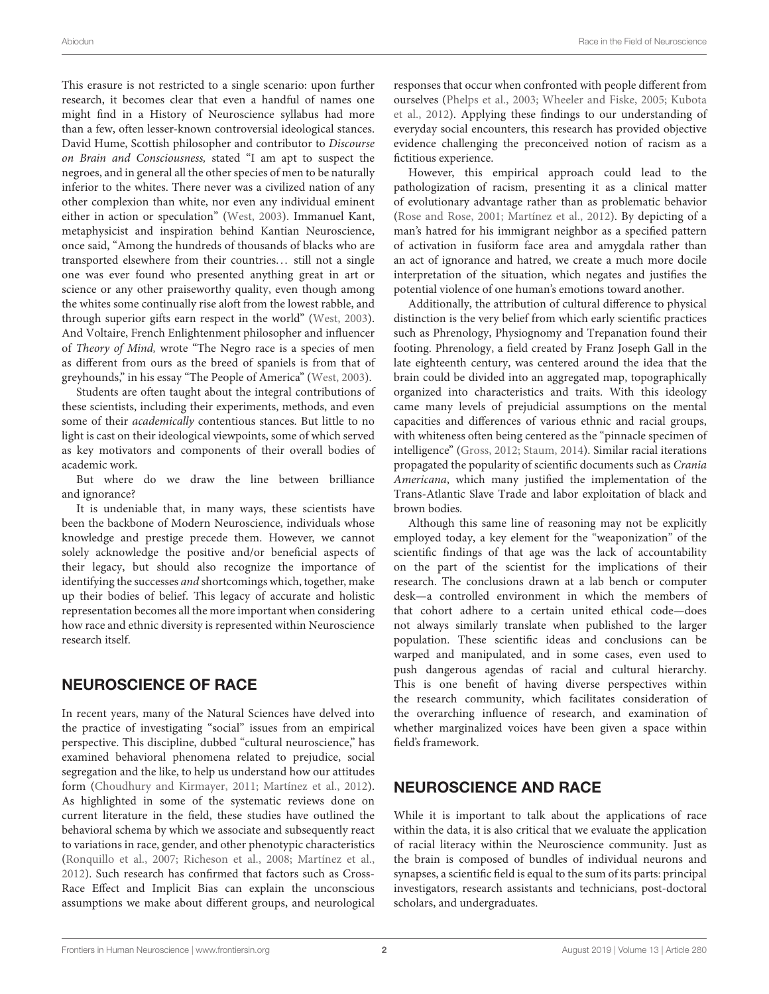This erasure is not restricted to a single scenario: upon further research, it becomes clear that even a handful of names one might find in a History of Neuroscience syllabus had more than a few, often lesser-known controversial ideological stances. David Hume, Scottish philosopher and contributor to Discourse on Brain and Consciousness, stated "I am apt to suspect the negroes, and in general all the other species of men to be naturally inferior to the whites. There never was a civilized nation of any other complexion than white, nor even any individual eminent either in action or speculation" (West, 2003). Immanuel Kant, metaphysicist and inspiration behind Kantian Neuroscience, once said, "Among the hundreds of thousands of blacks who are transported elsewhere from their countries. . . still not a single one was ever found who presented anything great in art or science or any other praiseworthy quality, even though among the whites some continually rise aloft from the lowest rabble, and through superior gifts earn respect in the world" (West, 2003). And Voltaire, French Enlightenment philosopher and influencer of Theory of Mind, wrote "The Negro race is a species of men

greyhounds," in his essay "The People of America" (West, 2003). Students are often taught about the integral contributions of these scientists, including their experiments, methods, and even some of their academically contentious stances. But little to no light is cast on their ideological viewpoints, some of which served as key motivators and components of their overall bodies of academic work.

as different from ours as the breed of spaniels is from that of

But where do we draw the line between brilliance and ignorance?

It is undeniable that, in many ways, these scientists have been the backbone of Modern Neuroscience, individuals whose knowledge and prestige precede them. However, we cannot solely acknowledge the positive and/or beneficial aspects of their legacy, but should also recognize the importance of identifying the successes and shortcomings which, together, make up their bodies of belief. This legacy of accurate and holistic representation becomes all the more important when considering how race and ethnic diversity is represented within Neuroscience research itself.

# NEUROSCIENCE OF RACE

In recent years, many of the Natural Sciences have delved into the practice of investigating "social" issues from an empirical perspective. This discipline, dubbed "cultural neuroscience," has examined behavioral phenomena related to prejudice, social segregation and the like, to help us understand how our attitudes form (Choudhury and Kirmayer, 2011; Martínez et al., 2012). As highlighted in some of the systematic reviews done on current literature in the field, these studies have outlined the behavioral schema by which we associate and subsequently react to variations in race, gender, and other phenotypic characteristics (Ronquillo et al., 2007; Richeson et al., 2008; Martínez et al., 2012). Such research has confirmed that factors such as Cross-Race Effect and Implicit Bias can explain the unconscious assumptions we make about different groups, and neurological

responses that occur when confronted with people different from ourselves (Phelps et al., 2003; Wheeler and Fiske, 2005; Kubota et al., 2012). Applying these findings to our understanding of everyday social encounters, this research has provided objective evidence challenging the preconceived notion of racism as a fictitious experience.

However, this empirical approach could lead to the pathologization of racism, presenting it as a clinical matter of evolutionary advantage rather than as problematic behavior (Rose and Rose, 2001; Martínez et al., 2012). By depicting of a man's hatred for his immigrant neighbor as a specified pattern of activation in fusiform face area and amygdala rather than an act of ignorance and hatred, we create a much more docile interpretation of the situation, which negates and justifies the potential violence of one human's emotions toward another.

Additionally, the attribution of cultural difference to physical distinction is the very belief from which early scientific practices such as Phrenology, Physiognomy and Trepanation found their footing. Phrenology, a field created by Franz Joseph Gall in the late eighteenth century, was centered around the idea that the brain could be divided into an aggregated map, topographically organized into characteristics and traits. With this ideology came many levels of prejudicial assumptions on the mental capacities and differences of various ethnic and racial groups, with whiteness often being centered as the "pinnacle specimen of intelligence" (Gross, 2012; Staum, 2014). Similar racial iterations propagated the popularity of scientific documents such as Crania Americana, which many justified the implementation of the Trans-Atlantic Slave Trade and labor exploitation of black and brown bodies.

Although this same line of reasoning may not be explicitly employed today, a key element for the "weaponization" of the scientific findings of that age was the lack of accountability on the part of the scientist for the implications of their research. The conclusions drawn at a lab bench or computer desk—a controlled environment in which the members of that cohort adhere to a certain united ethical code—does not always similarly translate when published to the larger population. These scientific ideas and conclusions can be warped and manipulated, and in some cases, even used to push dangerous agendas of racial and cultural hierarchy. This is one benefit of having diverse perspectives within the research community, which facilitates consideration of the overarching influence of research, and examination of whether marginalized voices have been given a space within field's framework.

# NEUROSCIENCE AND RACE

While it is important to talk about the applications of race within the data, it is also critical that we evaluate the application of racial literacy within the Neuroscience community. Just as the brain is composed of bundles of individual neurons and synapses, a scientific field is equal to the sum of its parts: principal investigators, research assistants and technicians, post-doctoral scholars, and undergraduates.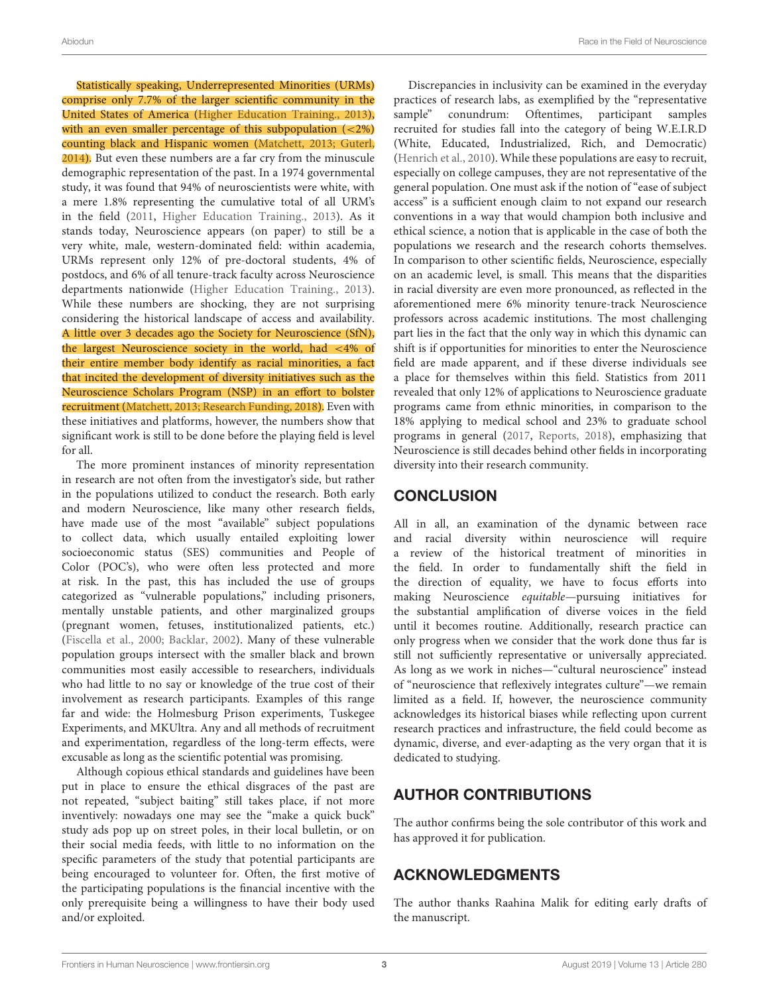Statistically speaking, Underrepresented Minorities (URMs) comprise only 7.7% of the larger scientific community in the United States of America (Higher Education Training., 2013), with an even smaller percentage of this subpopulation (<2%) counting black and Hispanic women (Matchett, 2013; Guterl, 2014). But even these numbers are a far cry from the minuscule demographic representation of the past. In a 1974 governmental study, it was found that 94% of neuroscientists were white, with a mere 1.8% representing the cumulative total of all URM's in the field (2011, Higher Education Training., 2013). As it stands today, Neuroscience appears (on paper) to still be a very white, male, western-dominated field: within academia, URMs represent only 12% of pre-doctoral students, 4% of postdocs, and 6% of all tenure-track faculty across Neuroscience departments nationwide (Higher Education Training., 2013). While these numbers are shocking, they are not surprising considering the historical landscape of access and availability. A little over 3 decades ago the Society for Neuroscience (SfN), the largest Neuroscience society in the world, had <4% of their entire member body identify as racial minorities, a fact that incited the development of diversity initiatives such as the Neuroscience Scholars Program (NSP) in an effort to bolster recruitment (Matchett, 2013; Research Funding, 2018). Even with these initiatives and platforms, however, the numbers show that significant work is still to be done before the playing field is level for all.

The more prominent instances of minority representation in research are not often from the investigator's side, but rather in the populations utilized to conduct the research. Both early and modern Neuroscience, like many other research fields, have made use of the most "available" subject populations to collect data, which usually entailed exploiting lower socioeconomic status (SES) communities and People of Color (POC's), who were often less protected and more at risk. In the past, this has included the use of groups categorized as "vulnerable populations," including prisoners, mentally unstable patients, and other marginalized groups (pregnant women, fetuses, institutionalized patients, etc.) (Fiscella et al., 2000; Backlar, 2002). Many of these vulnerable population groups intersect with the smaller black and brown communities most easily accessible to researchers, individuals who had little to no say or knowledge of the true cost of their involvement as research participants. Examples of this range far and wide: the Holmesburg Prison experiments, Tuskegee Experiments, and MKUltra. Any and all methods of recruitment and experimentation, regardless of the long-term effects, were excusable as long as the scientific potential was promising.

Although copious ethical standards and guidelines have been put in place to ensure the ethical disgraces of the past are not repeated, "subject baiting" still takes place, if not more inventively: nowadays one may see the "make a quick buck" study ads pop up on street poles, in their local bulletin, or on their social media feeds, with little to no information on the specific parameters of the study that potential participants are being encouraged to volunteer for. Often, the first motive of the participating populations is the financial incentive with the only prerequisite being a willingness to have their body used and/or exploited.

Discrepancies in inclusivity can be examined in the everyday practices of research labs, as exemplified by the "representative sample" conundrum: Oftentimes, participant samples recruited for studies fall into the category of being W.E.I.R.D (White, Educated, Industrialized, Rich, and Democratic) (Henrich et al., 2010). While these populations are easy to recruit, especially on college campuses, they are not representative of the general population. One must ask if the notion of "ease of subject access" is a sufficient enough claim to not expand our research conventions in a way that would champion both inclusive and ethical science, a notion that is applicable in the case of both the populations we research and the research cohorts themselves. In comparison to other scientific fields, Neuroscience, especially on an academic level, is small. This means that the disparities in racial diversity are even more pronounced, as reflected in the aforementioned mere 6% minority tenure-track Neuroscience professors across academic institutions. The most challenging part lies in the fact that the only way in which this dynamic can shift is if opportunities for minorities to enter the Neuroscience field are made apparent, and if these diverse individuals see a place for themselves within this field. Statistics from 2011 revealed that only 12% of applications to Neuroscience graduate programs came from ethnic minorities, in comparison to the 18% applying to medical school and 23% to graduate school programs in general (2017, Reports, 2018), emphasizing that Neuroscience is still decades behind other fields in incorporating diversity into their research community.

## **CONCLUSION**

All in all, an examination of the dynamic between race and racial diversity within neuroscience will require a review of the historical treatment of minorities in the field. In order to fundamentally shift the field in the direction of equality, we have to focus efforts into making Neuroscience equitable—pursuing initiatives for the substantial amplification of diverse voices in the field until it becomes routine. Additionally, research practice can only progress when we consider that the work done thus far is still not sufficiently representative or universally appreciated. As long as we work in niches—"cultural neuroscience" instead of "neuroscience that reflexively integrates culture"—we remain limited as a field. If, however, the neuroscience community acknowledges its historical biases while reflecting upon current research practices and infrastructure, the field could become as dynamic, diverse, and ever-adapting as the very organ that it is dedicated to studying.

# AUTHOR CONTRIBUTIONS

The author confirms being the sole contributor of this work and has approved it for publication.

# ACKNOWLEDGMENTS

The author thanks Raahina Malik for editing early drafts of the manuscript.